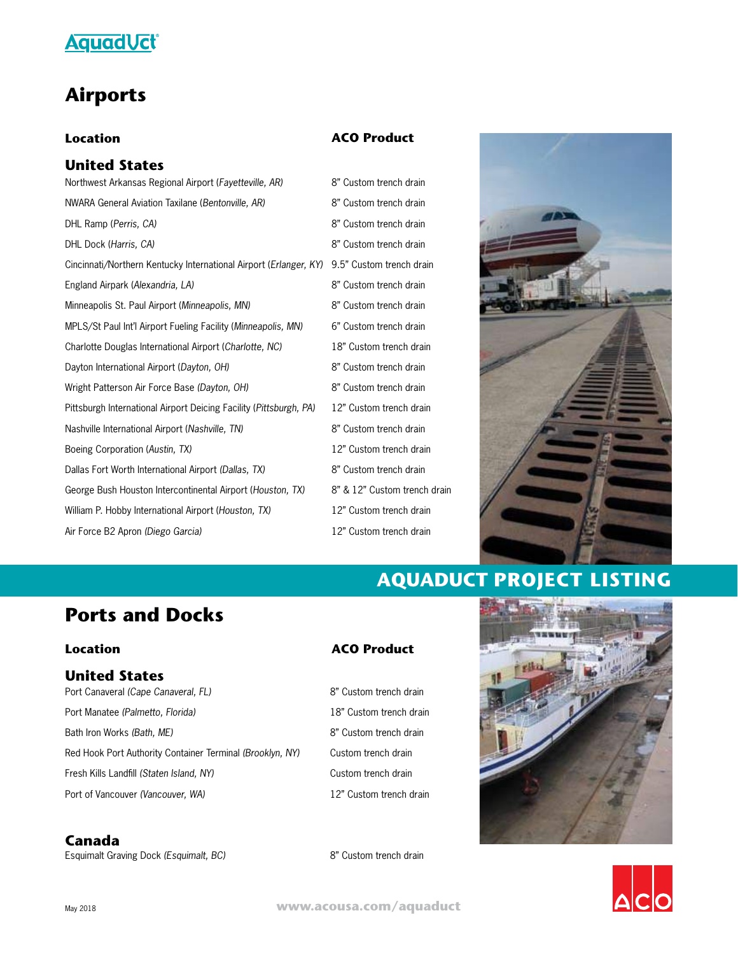

### **Airports**

#### **Location**

### **United States**

Northwest Arkansas Regional Airport (*Fayetteville, AR)* NWARA General Aviation Taxilane (*Bentonville, AR)* DHL Ramp (*Perris, CA)* DHL Dock (*Harris, CA)* Cincinnati/Northern Kentucky International Airport (*Erlanger, KY)* 9.5" Custom trench drain England Airpark (*Alexandria, LA)* Minneapolis St. Paul Airport (*Minneapolis, MN)* MPLS/St Paul Int'l Airport Fueling Facility (*Minneapolis, MN)* Charlotte Douglas International Airport (*Charlotte, NC)* Dayton International Airport (*Dayton, OH)* Wright Patterson Air Force Base *(Dayton, OH)* Pittsburgh International Airport Deicing Facility (*Pittsburgh, PA)* Nashville International Airport (*Nashville, TN)*  Boeing Corporation (*Austin, TX)* Dallas Fort Worth International Airport *(Dallas, TX)* George Bush Houston Intercontinental Airport (*Houston, TX)* William P. Hobby International Airport (*Houston, TX)* Air Force B2 Apron *(Diego Garcia)*

#### **ACO Product**

8" Custom trench drain 8" Custom trench drain 8" Custom trench drain 8" Custom trench drain 8" Custom trench drain 8" Custom trench drain 6" Custom trench drain 18" Custom trench drain 8" Custom trench drain 8" Custom trench drain 12" Custom trench drain 8" Custom trench drain 12" Custom trench drain 8" Custom trench drain 8" & 12" Custom trench drain 12" Custom trench drain 12" Custom trench drain



# **AQUADUCT PROJECT LISTING**

### **Ports and Docks**

#### **Location**

### **United States**

Port Canaveral *(Cape Canaveral, FL)* Port Manatee *(Palmetto, Florida)* Bath Iron Works *(Bath, ME)*  Red Hook Port Authority Container Terminal *(Brooklyn, NY)* Fresh Kills Landfill *(Staten Island, NY)*  Port of Vancouver *(Vancouver, WA)*

### **Canada**

Esquimalt Graving Dock *(Esquimalt, BC)*

**ACO Product**

8" Custom trench drain 18" Custom trench drain 8" Custom trench drain Custom trench drain Custom trench drain 12" Custom trench drain





May 20<sup>18</sup> **www.acousa.com/aquaduct**

8" Custom trench drain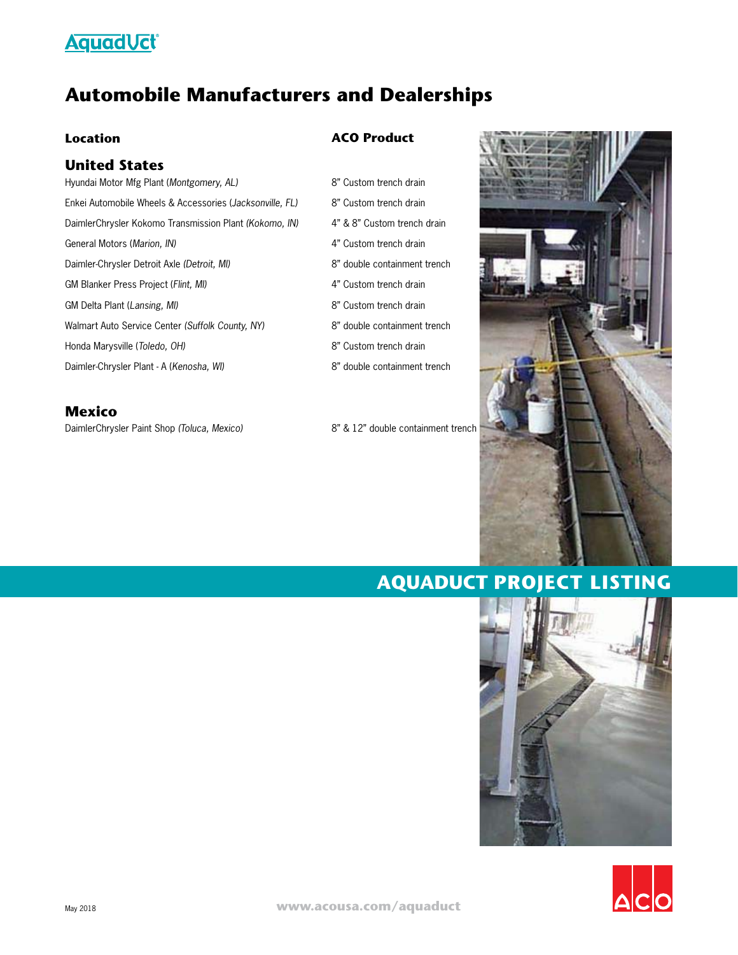# **Aquad Vct®**

# **Automobile Manufacturers and Dealerships**

#### **Location**

#### **United States**

Hyundai Motor Mfg Plant (*Montgomery, AL)* Enkei Automobile Wheels & Accessories (*Jacksonville, FL)* DaimlerChrysler Kokomo Transmission Plant *(Kokomo, IN)* General Motors (*Marion, IN)* Daimler-Chrysler Detroit Axle *(Detroit, MI)* GM Blanker Press Project (*Flint, MI)* GM Delta Plant (*Lansing, MI)* Walmart Auto Service Center *(Suffolk County, NY)* Honda Marysville (*Toledo, OH)* Daimler-Chrysler Plant - A (*Kenosha, WI)*

DaimlerChrysler Paint Shop *(Toluca, Mexico)* **Mexico**

#### **ACO Product**

- 8" Custom trench drain 8" Custom trench drain 4" & 8" Custom trench drain 4" Custom trench drain 8" double containment trench 4" Custom trench drain 8" Custom trench drain 8" double containment trench 8" Custom trench drain
- 8" double containment trench

8" & 12" double containment trench

# **AQUADUCT PROJECT LISTING**



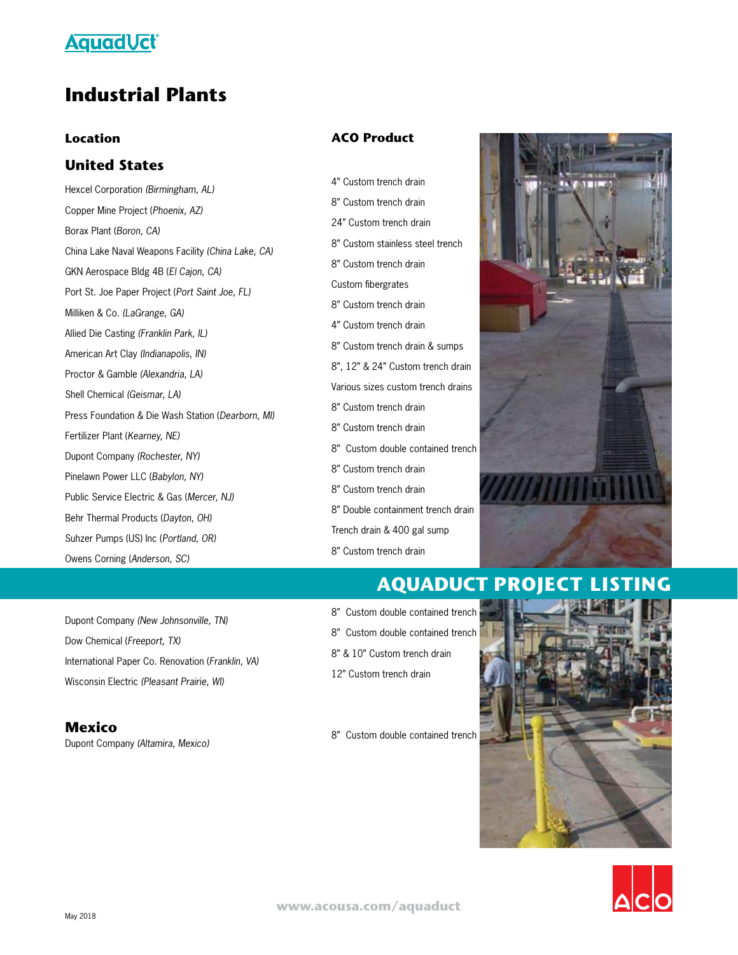

### **Industrial Plants**

#### **Location**

### **United States**

Hexcel Corporation *(Birmingham, AL)* Copper Mine Project (*Phoenix, AZ)* Borax Plant (*Boron, CA)* China Lake Naval Weapons Facility *(China Lake, CA)* GKN Aerospace Bldg 4B (*El Cajon, CA)* Port St. Joe Paper Project (*Port Saint Joe, FL)* Milliken & Co. *(LaGrange, GA)* Allied Die Casting *(Franklin Park, IL)* American Art Clay *(Indianapolis, IN)* Proctor & Gamble *(Alexandria, LA)* Shell Chemical *(Geismar, LA)* Press Foundation & Die Wash Station (*Dearborn, MI)* Fertilizer Plant (*Kearney, NE)* Dupont Company *(Rochester, NY)* Pinelawn Power LLC (*Babylon, NY)* Public Service Electric & Gas (*Mercer, NJ)* Behr Thermal Products (*Dayton, OH)* Suhzer Pumps (US) Inc (*Portland, OR)* Owens Corning (*Anderson, SC)*

Dupont Company *(New Johnsonville, TN)* Dow Chemical (*Freeport, TX)* International Paper Co. Renovation (*Franklin, VA)* Wisconsin Electric *(Pleasant Prairie, WI)*

**Mexico** Dupont Company *(Altamira, Mexico)* 

#### **ACO Product**

4" Custom trench drain 8" Custom trench drain 24" Custom trench drain 8" Custom stainless steel trench 8" Custom trench drain Custom fibergrates 8" Custom trench drain 4" Custom trench drain 8" Custom trench drain & sumps 8", 12" & 24" Custom trench drain Various sizes custom trench drains 8" Custom trench drain 8" Custom trench drain 8" Custom double contained trench 8" Custom trench drain 8" Custom trench drain 8" Double containment trench drain Trench drain & 400 gal sump 8" Custom trench drain



### **AQUADUCT PROJECT LISTING**



8" Custom double contained trench



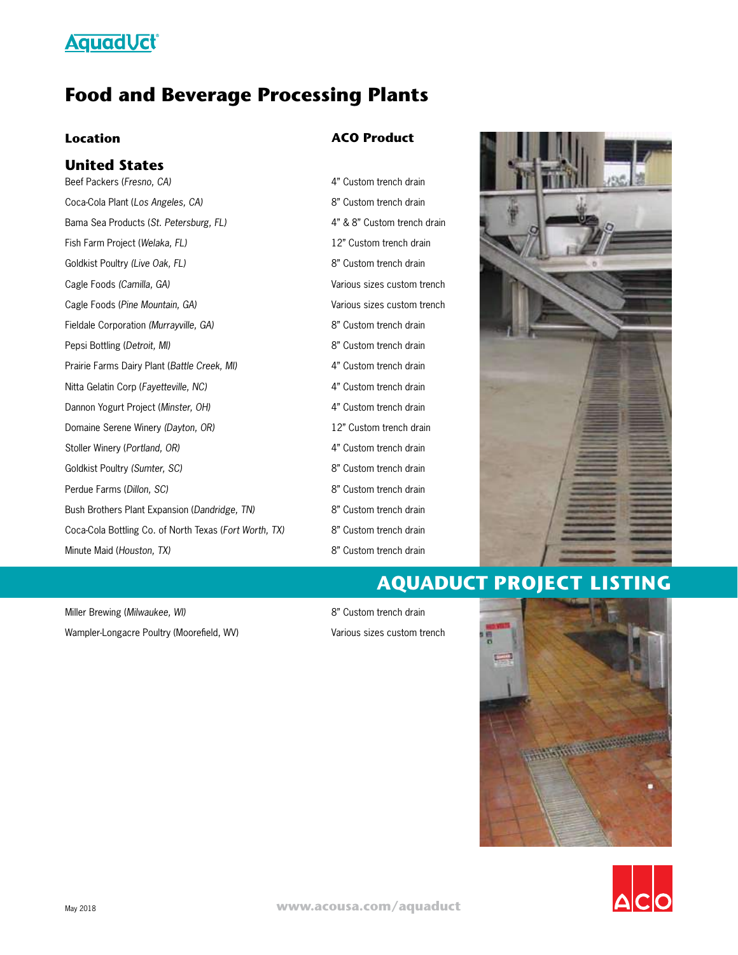### **Aquad Vct**

### **Food and Beverage Processing Plants**

#### **Location**

#### **United States**

Beef Packers (*Fresno, CA)* Coca-Cola Plant (*Los Angeles, CA)* Bama Sea Products (*St. Petersburg, FL)* Fish Farm Project (*Welaka, FL)* Goldkist Poultry *(Live Oak, FL)* Cagle Foods *(Camilla, GA)* Cagle Foods (*Pine Mountain, GA)* Fieldale Corporation *(Murrayville, GA)*  Pepsi Bottling (*Detroit, MI)* Prairie Farms Dairy Plant (*Battle Creek, MI)* Nitta Gelatin Corp (*Fayetteville, NC)* Dannon Yogurt Project (*Minster, OH)* Domaine Serene Winery *(Dayton, OR)* Stoller Winery (*Portland, OR)* Goldkist Poultry *(Sumter, SC)* Perdue Farms (*Dillon, SC)* Bush Brothers Plant Expansion (*Dandridge, TN)* Coca-Cola Bottling Co. of North Texas (*Fort Worth, TX)* Minute Maid (*Houston, TX)*

Miller Brewing (*Milwaukee, WI)* Wampler-Longacre Poultry (Moorefield, WV)

#### **ACO Product**

4" Custom trench drain 8" Custom trench drain 4" & 8" Custom trench drain 12" Custom trench drain 8" Custom trench drain Various sizes custom trench Various sizes custom trench 8" Custom trench drain 8" Custom trench drain 4" Custom trench drain 4" Custom trench drain 4" Custom trench drain 12" Custom trench drain 4" Custom trench drain 8" Custom trench drain 8" Custom trench drain 8" Custom trench drain 8" Custom trench drain 8" Custom trench drain



### **AQUADUCT PROJECT LISTING**

8" Custom trench drain Various sizes custom trench